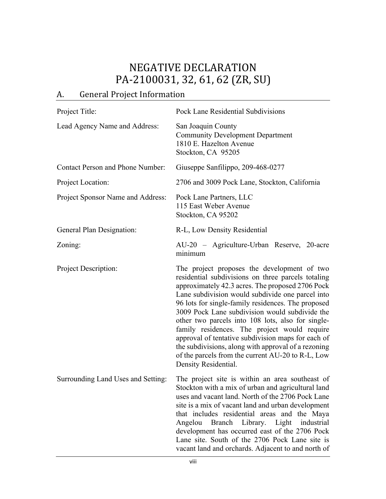## NEGATIVE DECLARATION PA-2100031, 32, 61, 62 (ZR, SU)

## A. General Project Information

| Project Title:                          | Pock Lane Residential Subdivisions                                                                                                                                                                                                                                                                                                                                                                                                                                                                                                                                                                               |  |  |
|-----------------------------------------|------------------------------------------------------------------------------------------------------------------------------------------------------------------------------------------------------------------------------------------------------------------------------------------------------------------------------------------------------------------------------------------------------------------------------------------------------------------------------------------------------------------------------------------------------------------------------------------------------------------|--|--|
| Lead Agency Name and Address:           | San Joaquin County<br><b>Community Development Department</b><br>1810 E. Hazelton Avenue<br>Stockton, CA 95205                                                                                                                                                                                                                                                                                                                                                                                                                                                                                                   |  |  |
| <b>Contact Person and Phone Number:</b> | Giuseppe Sanfilippo, 209-468-0277                                                                                                                                                                                                                                                                                                                                                                                                                                                                                                                                                                                |  |  |
| Project Location:                       | 2706 and 3009 Pock Lane, Stockton, California                                                                                                                                                                                                                                                                                                                                                                                                                                                                                                                                                                    |  |  |
| Project Sponsor Name and Address:       | Pock Lane Partners, LLC<br>115 East Weber Avenue<br>Stockton, CA 95202                                                                                                                                                                                                                                                                                                                                                                                                                                                                                                                                           |  |  |
| General Plan Designation:               | R-L, Low Density Residential                                                                                                                                                                                                                                                                                                                                                                                                                                                                                                                                                                                     |  |  |
| Zoning:                                 | AU-20 - Agriculture-Urban Reserve, 20-acre<br>minimum                                                                                                                                                                                                                                                                                                                                                                                                                                                                                                                                                            |  |  |
| <b>Project Description:</b>             | The project proposes the development of two<br>residential subdivisions on three parcels totaling<br>approximately 42.3 acres. The proposed 2706 Pock<br>Lane subdivision would subdivide one parcel into<br>96 lots for single-family residences. The proposed<br>3009 Pock Lane subdivision would subdivide the<br>other two parcels into 108 lots, also for single-<br>family residences. The project would require<br>approval of tentative subdivision maps for each of<br>the subdivisions, along with approval of a rezoning<br>of the parcels from the current AU-20 to R-L, Low<br>Density Residential. |  |  |
| Surrounding Land Uses and Setting:      | The project site is within an area southeast of<br>Stockton with a mix of urban and agricultural land<br>uses and vacant land. North of the 2706 Pock Lane<br>site is a mix of vacant land and urban development<br>that includes residential areas and the Maya<br>Branch Library. Light industrial<br>Angelou<br>development has occurred east of the 2706 Pock<br>Lane site. South of the 2706 Pock Lane site is<br>vacant land and orchards. Adjacent to and north of                                                                                                                                        |  |  |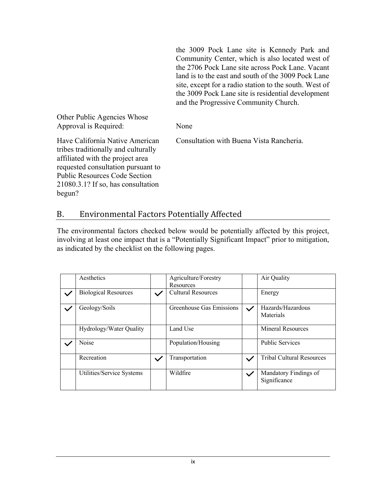the 3009 Pock Lane site is Kennedy Park and Community Center, which is also located west of the 2706 Pock Lane site across Pock Lane. Vacant land is to the east and south of the 3009 Pock Lane site, except for a radio station to the south. West of the 3009 Pock Lane site is residential development and the Progressive Community Church.

Other Public Agencies Whose Approval is Required: None

Have California Native American Consultation with Buena Vista Rancheria.

tribes traditionally and culturally affiliated with the project area requested consultation pursuant to Public Resources Code Section 21080.3.1? If so, has consultation begun?

## B. Environmental Factors Potentially Affected

The environmental factors checked below would be potentially affected by this project, involving at least one impact that is a "Potentially Significant Impact" prior to mitigation, as indicated by the checklist on the following pages.

| Aesthetics                  |              | Agriculture/Forestry<br>Resources |              | Air Quality                           |
|-----------------------------|--------------|-----------------------------------|--------------|---------------------------------------|
| <b>Biological Resources</b> |              | Cultural Resources                |              | Energy                                |
| Geology/Soils               |              | Greenhouse Gas Emissions          | $\checkmark$ | Hazards/Hazardous<br>Materials        |
| Hydrology/Water Quality     |              | Land Use                          |              | Mineral Resources                     |
| Noise                       |              | Population/Housing                |              | <b>Public Services</b>                |
| Recreation                  | $\checkmark$ | Transportation                    | $\checkmark$ | <b>Tribal Cultural Resources</b>      |
| Utilities/Service Systems   |              | Wildfire                          |              | Mandatory Findings of<br>Significance |